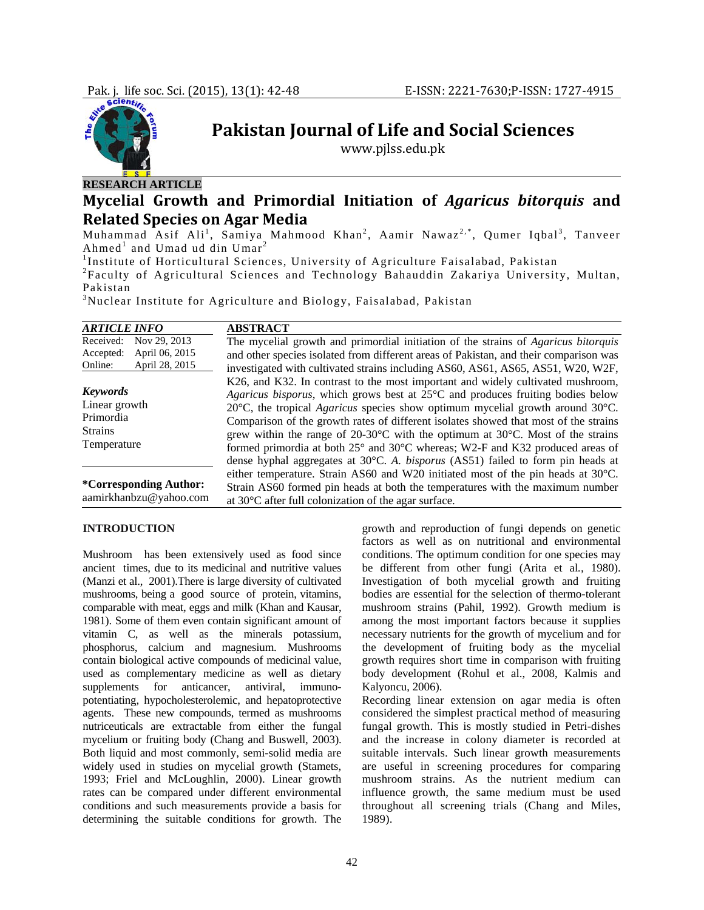

# **Pakistan Journal of Life and Social Sciences**

www.pjlss.edu.pk

## **Mycelial Growth and Primordial Initiation of** *Agaricus bitorquis* **and Related Species on Agar Media**

Muhammad Asif Ali<sup>1</sup>, Samiya Mahmood Khan<sup>2</sup>, Aamir Nawaz<sup>2,\*</sup>, Qumer Iqbal<sup>3</sup>, Tanveer Ahmed<sup>1</sup> and Umad ud din  $U$ mar<sup>2</sup>

<sup>1</sup>Institute of Horticultural Sciences, University of Agriculture Faisalabad, Pakistan <sup>2</sup>Eequity of Agricultural Sciences and Tashnology Pehanddin Zakariya University

Faculty of Agricultural Sciences and Technology Bahauddin Zakariya University, Multan, Pakistan

 $3$ Nuclear Institute for Agriculture and Biology, Faisalabad, Pakistan

| <b>ARTICLE INFO</b>                                                                   | <b>ABSTRACT</b>                                                                                                                                                                                                                                                                                                                                                                                                                                                                                                                                                                                                                                                                                     |
|---------------------------------------------------------------------------------------|-----------------------------------------------------------------------------------------------------------------------------------------------------------------------------------------------------------------------------------------------------------------------------------------------------------------------------------------------------------------------------------------------------------------------------------------------------------------------------------------------------------------------------------------------------------------------------------------------------------------------------------------------------------------------------------------------------|
| Nov 29, 2013<br>Received:<br>Accepted:<br>April 06, 2015<br>April 28, 2015<br>Online: | The mycelial growth and primordial initiation of the strains of Agaricus bitorquis<br>and other species isolated from different areas of Pakistan, and their comparison was<br>investigated with cultivated strains including AS60, AS61, AS65, AS51, W20, W2F,                                                                                                                                                                                                                                                                                                                                                                                                                                     |
| <b>Keywords</b><br>Linear growth<br>Primordia<br><b>Strains</b><br>Temperature        | K26, and K32. In contrast to the most important and widely cultivated mushroom,<br>Agaricus bisporus, which grows best at $25^{\circ}$ C and produces fruiting bodies below<br>20 $^{\circ}$ C, the tropical <i>Agaricus</i> species show optimum mycelial growth around 30 $^{\circ}$ C.<br>Comparison of the growth rates of different isolates showed that most of the strains<br>grew within the range of $20{\text -}30^{\circ}\text{C}$ with the optimum at $30^{\circ}\text{C}$ . Most of the strains<br>formed primordia at both $25^{\circ}$ and $30^{\circ}$ C whereas; W2-F and K32 produced areas of<br>dense hyphal aggregates at 30°C. A. bisporus (AS51) failed to form pin heads at |
| <i>*Corresponding Author:</i><br>aamirkhanbzu@yahoo.com                               | either temperature. Strain AS60 and W20 initiated most of the pin heads at $30^{\circ}$ C.<br>Strain AS60 formed pin heads at both the temperatures with the maximum number<br>at 30°C after full colonization of the agar surface.                                                                                                                                                                                                                                                                                                                                                                                                                                                                 |

#### **INTRODUCTION**

Mushroom has been extensively used as food since ancient times, due to its medicinal and nutritive values (Manzi et al., 2001).There is large diversity of cultivated mushrooms, being a good source of protein, vitamins, comparable with meat, eggs and milk (Khan and Kausar, 1981). Some of them even contain significant amount of vitamin C, as well as the minerals potassium, phosphorus, calcium and magnesium. Mushrooms contain biological active compounds of medicinal value, used as complementary medicine as well as dietary supplements for anticancer, antiviral, immunopotentiating, hypocholesterolemic, and hepatoprotective agents. These new compounds, termed as mushrooms nutriceuticals are extractable from either the fungal mycelium or fruiting body (Chang and Buswell, 2003). Both liquid and most commonly, semi-solid media are widely used in studies on mycelial growth (Stamets, 1993; Friel and McLoughlin, 2000). Linear growth rates can be compared under different environmental conditions and such measurements provide a basis for determining the suitable conditions for growth. The

growth and reproduction of fungi depends on genetic factors as well as on nutritional and environmental conditions. The optimum condition for one species may be different from other fungi (Arita et al*.,* 1980). Investigation of both mycelial growth and fruiting bodies are essential for the selection of thermo-tolerant mushroom strains (Pahil, 1992). Growth medium is among the most important factors because it supplies necessary nutrients for the growth of mycelium and for the development of fruiting body as the mycelial growth requires short time in comparison with fruiting body development (Rohul et al., 2008, Kalmis and Kalyoncu, 2006).

Recording linear extension on agar media is often considered the simplest practical method of measuring fungal growth. This is mostly studied in Petri-dishes and the increase in colony diameter is recorded at suitable intervals. Such linear growth measurements are useful in screening procedures for comparing mushroom strains. As the nutrient medium can influence growth, the same medium must be used throughout all screening trials (Chang and Miles, 1989).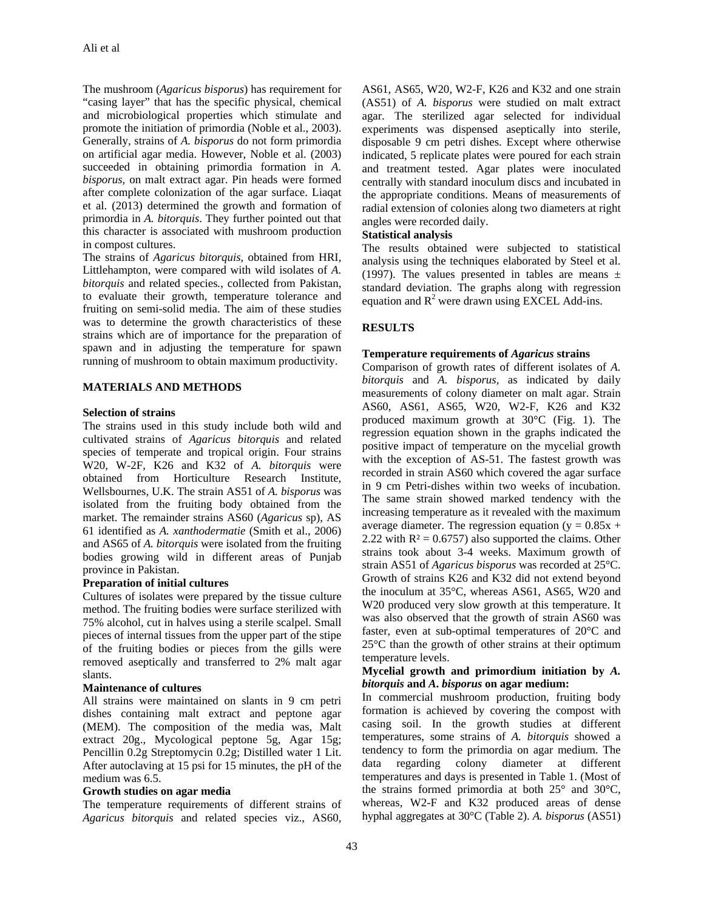The mushroom (*Agaricus bisporus*) has requirement for "casing layer" that has the specific physical, chemical and microbiological properties which stimulate and promote the initiation of primordia (Noble et al., 2003). Generally, strains of *A. bisporus* do not form primordia on artificial agar media. However, Noble et al. (2003) succeeded in obtaining primordia formation in *A. bisporus,* on malt extract agar. Pin heads were formed after complete colonization of the agar surface. Liaqat et al. (2013) determined the growth and formation of primordia in *A. bitorquis*. They further pointed out that this character is associated with mushroom production in compost cultures.

The strains of *Agaricus bitorquis*, obtained from HRI, Littlehampton, were compared with wild isolates of *A. bitorquis* and related species*.,* collected from Pakistan, to evaluate their growth, temperature tolerance and fruiting on semi-solid media. The aim of these studies was to determine the growth characteristics of these strains which are of importance for the preparation of spawn and in adjusting the temperature for spawn running of mushroom to obtain maximum productivity.

### **MATERIALS AND METHODS**

#### **Selection of strains**

The strains used in this study include both wild and cultivated strains of *Agaricus bitorquis* and related species of temperate and tropical origin. Four strains W20, W-2F, K26 and K32 of *A. bitorquis* were obtained from Horticulture Research Institute, Wellsbournes, U.K. The strain AS51 of *A. bisporus* was isolated from the fruiting body obtained from the market. The remainder strains AS60 (*Agaricus* sp), AS 61 identified as *A. xanthodermatie* (Smith et al., 2006) and AS65 of *A. bitorquis* were isolated from the fruiting bodies growing wild in different areas of Punjab province in Pakistan.

#### **Preparation of initial cultures**

Cultures of isolates were prepared by the tissue culture method. The fruiting bodies were surface sterilized with 75% alcohol, cut in halves using a sterile scalpel. Small pieces of internal tissues from the upper part of the stipe of the fruiting bodies or pieces from the gills were removed aseptically and transferred to 2% malt agar slants.

#### **Maintenance of cultures**

All strains were maintained on slants in 9 cm petri dishes containing malt extract and peptone agar (MEM). The composition of the media was, Malt extract 20g., Mycological peptone 5g, Agar 15g; Pencillin 0.2g Streptomycin 0.2g; Distilled water 1 Lit. After autoclaving at 15 psi for 15 minutes, the pH of the medium was 6.5.

#### **Growth studies on agar media**

The temperature requirements of different strains of *Agaricus bitorquis* and related species viz., AS60,

AS61, AS65, W20, W2-F, K26 and K32 and one strain (AS51) of *A. bisporus* were studied on malt extract agar. The sterilized agar selected for individual experiments was dispensed aseptically into sterile, disposable 9 cm petri dishes. Except where otherwise indicated, 5 replicate plates were poured for each strain and treatment tested. Agar plates were inoculated centrally with standard inoculum discs and incubated in the appropriate conditions. Means of measurements of radial extension of colonies along two diameters at right angles were recorded daily.

## **Statistical analysis**

The results obtained were subjected to statistical analysis using the techniques elaborated by Steel et al. (1997). The values presented in tables are means  $\pm$ standard deviation. The graphs along with regression equation and  $R^2$  were drawn using EXCEL Add-ins.

## **RESULTS**

## **Temperature requirements of** *Agaricus* **strains**

Comparison of growth rates of different isolates of *A. bitorquis* and *A. bisporus,* as indicated by daily measurements of colony diameter on malt agar. Strain AS60, AS61, AS65, W20, W2-F, K26 and K32 produced maximum growth at 30°C (Fig. 1). The regression equation shown in the graphs indicated the positive impact of temperature on the mycelial growth with the exception of AS-51. The fastest growth was recorded in strain AS60 which covered the agar surface in 9 cm Petri-dishes within two weeks of incubation. The same strain showed marked tendency with the increasing temperature as it revealed with the maximum average diameter. The regression equation ( $y = 0.85x +$ 2.22 with  $R^2 = 0.6757$ ) also supported the claims. Other strains took about 3-4 weeks. Maximum growth of strain AS51 of *Agaricus bisporus* was recorded at 25°C. Growth of strains K26 and K32 did not extend beyond the inoculum at 35°C, whereas AS61, AS65, W20 and W20 produced very slow growth at this temperature. It was also observed that the growth of strain AS60 was faster, even at sub-optimal temperatures of 20°C and 25°C than the growth of other strains at their optimum temperature levels.

## **Mycelial growth and primordium initiation by** *A. bitorquis* **and** *A***.** *bisporus* **on agar medium:**

In commercial mushroom production, fruiting body formation is achieved by covering the compost with casing soil. In the growth studies at different temperatures, some strains of *A. bitorquis* showed a tendency to form the primordia on agar medium. The data regarding colony diameter at different temperatures and days is presented in Table 1. (Most of the strains formed primordia at both 25° and 30°C, whereas, W2-F and K32 produced areas of dense hyphal aggregates at 30°C (Table 2). *A. bisporus* (AS51)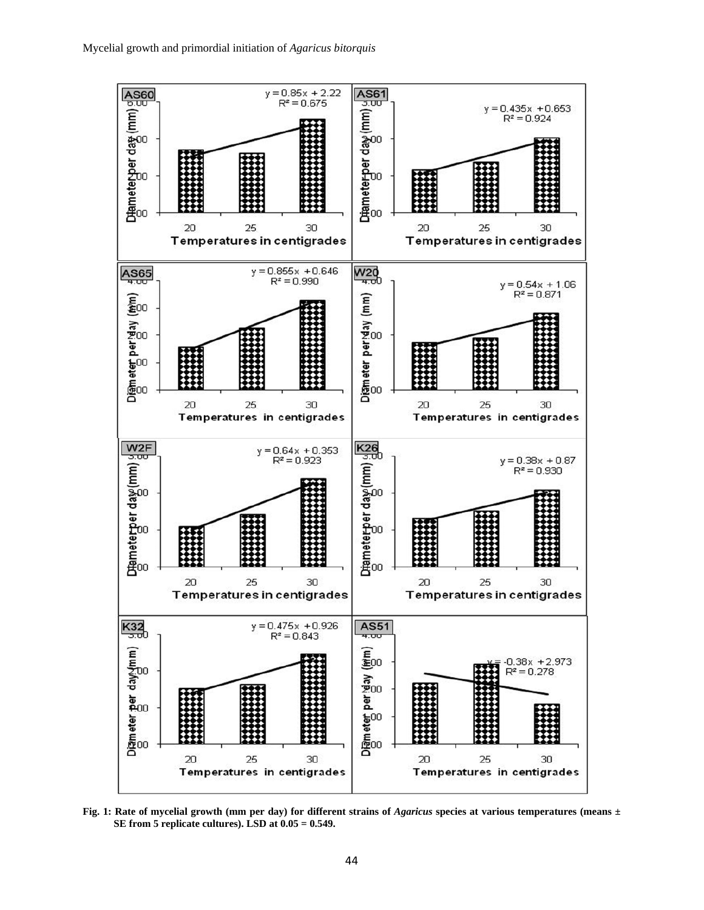

Fig. 1: Rate of mycelial growth (mm per day) for different strains of *Agaricus* species at various temperatures (means  $\pm$ **SE from 5 replicate cultures). LSD at 0.05 = 0.549.**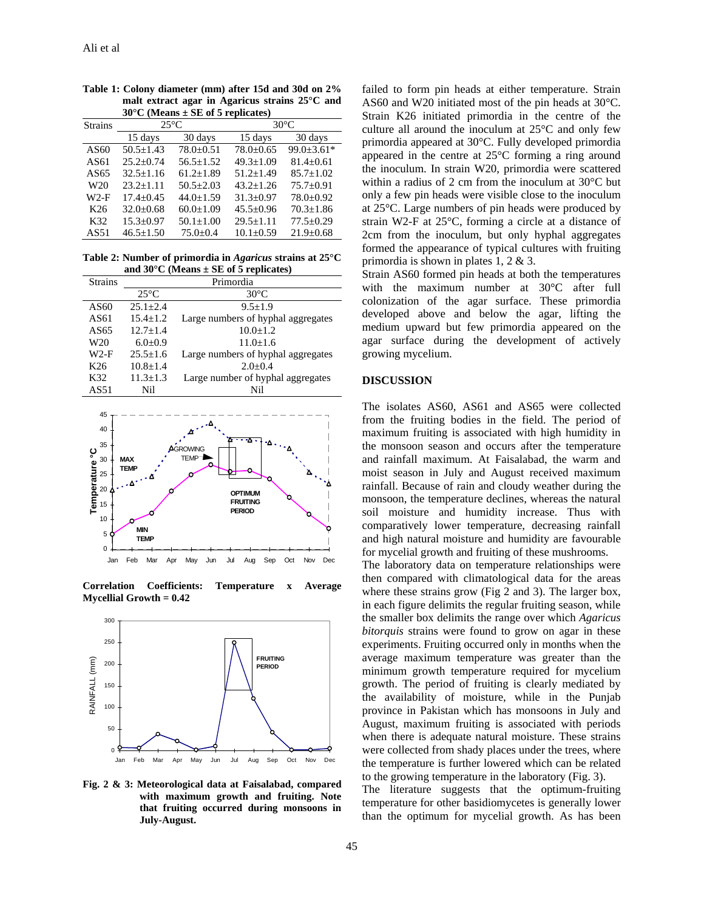| $30^\circ$ C (Means $\pm$ SE of 5 replicates) |                 |                |                 |                  |  |
|-----------------------------------------------|-----------------|----------------|-----------------|------------------|--|
| <b>Strains</b>                                | $25^{\circ}$ C  |                | $30^{\circ}$ C  |                  |  |
|                                               | 15 days         | 30 days        | 15 days         | 30 days          |  |
| AS60                                          | $50.5 + 1.43$   | $78.0 + 0.51$  | $78.0 + 0.65$   | $99.0 \pm 3.61*$ |  |
| AS61                                          | $25.2 + 0.74$   | $56.5 + 1.52$  | $49.3 + 1.09$   | $81.4 + 0.61$    |  |
| AS65                                          | $32.5 + 1.16$   | $61.2 + 1.89$  | $51.2 + 1.49$   | $85.7 + 1.02$    |  |
| W <sub>20</sub>                               | $23.2 + 1.11$   | $50.5 + 2.03$  | $43.2 + 1.26$   | $75.7+0.91$      |  |
| $W2-F$                                        | $17.4 + 0.45$   | $44.0 + 1.59$  | $31.3 + 0.97$   | $78.0 \pm 0.92$  |  |
| K <sub>26</sub>                               | $32.0 + 0.68$   | $60.0 + 1.09$  | $45.5 \pm 0.96$ | $70.3 + 1.86$    |  |
| K32                                           | $15.3 + 0.97$   | $50.1 + 1.00$  | $29.5 + 1.11$   | $77.5 \pm 0.29$  |  |
| AS51                                          | $46.5 \pm 1.50$ | $75.0 \pm 0.4$ | $10.1 + 0.59$   | $21.9 \pm 0.68$  |  |
|                                               |                 |                |                 |                  |  |

**Table 1: Colony diameter (mm) after 15d and 30d on 2% malt extract agar in Agaricus strains 25°C and 30°C (Means ± SE of 5 replicates)** 

**Table 2: Number of primordia in** *Agaricus* **strains at 25°C and 30°C (Means ± SE of 5 replicates)** 

| <b>Strains</b>  | Primordia      |                                    |  |  |
|-----------------|----------------|------------------------------------|--|--|
|                 | $25^{\circ}$ C | $30^{\circ}$ C                     |  |  |
| AS60            | $25.1 + 2.4$   | $9.5 + 1.9$                        |  |  |
| AS61            | $15.4 + 1.2$   | Large numbers of hyphal aggregates |  |  |
| AS65            | $12.7 + 1.4$   | $10.0 \pm 1.2$                     |  |  |
| W20             | $6.0+0.9$      | $11.0 + 1.6$                       |  |  |
| $W2-F$          | $25.5 + 1.6$   | Large numbers of hyphal aggregates |  |  |
| K <sub>26</sub> | $10.8 \pm 1.4$ | $2.0+0.4$                          |  |  |
| K32             | $11.3 + 1.3$   | Large number of hyphal aggregates  |  |  |
| AS51            | Nil            | Nil                                |  |  |



**Correlation Coefficients: Temperature x Average Mycellial Growth = 0.42** 



**Fig. 2 & 3: Meteorological data at Faisalabad, compared with maximum growth and fruiting. Note that fruiting occurred during monsoons in July-August.** 

failed to form pin heads at either temperature. Strain AS60 and W20 initiated most of the pin heads at 30°C. Strain K26 initiated primordia in the centre of the culture all around the inoculum at 25°C and only few primordia appeared at 30°C. Fully developed primordia appeared in the centre at 25°C forming a ring around the inoculum. In strain W20, primordia were scattered within a radius of 2 cm from the inoculum at 30°C but only a few pin heads were visible close to the inoculum at 25°C. Large numbers of pin heads were produced by strain W2-F at 25°C, forming a circle at a distance of 2cm from the inoculum, but only hyphal aggregates formed the appearance of typical cultures with fruiting primordia is shown in plates 1, 2 & 3.

Strain AS60 formed pin heads at both the temperatures with the maximum number at 30°C after full colonization of the agar surface. These primordia developed above and below the agar, lifting the medium upward but few primordia appeared on the agar surface during the development of actively growing mycelium.

### **DISCUSSION**

The isolates AS60, AS61 and AS65 were collected from the fruiting bodies in the field. The period of maximum fruiting is associated with high humidity in the monsoon season and occurs after the temperature and rainfall maximum. At Faisalabad, the warm and moist season in July and August received maximum rainfall. Because of rain and cloudy weather during the monsoon, the temperature declines, whereas the natural soil moisture and humidity increase. Thus with comparatively lower temperature, decreasing rainfall and high natural moisture and humidity are favourable for mycelial growth and fruiting of these mushrooms.

The laboratory data on temperature relationships were then compared with climatological data for the areas where these strains grow (Fig 2 and 3). The larger box, in each figure delimits the regular fruiting season, while the smaller box delimits the range over which *Agaricus bitorquis* strains were found to grow on agar in these experiments. Fruiting occurred only in months when the average maximum temperature was greater than the minimum growth temperature required for mycelium growth. The period of fruiting is clearly mediated by the availability of moisture, while in the Punjab province in Pakistan which has monsoons in July and August, maximum fruiting is associated with periods when there is adequate natural moisture. These strains were collected from shady places under the trees, where the temperature is further lowered which can be related to the growing temperature in the laboratory (Fig. 3).

The literature suggests that the optimum-fruiting temperature for other basidiomycetes is generally lower than the optimum for mycelial growth. As has been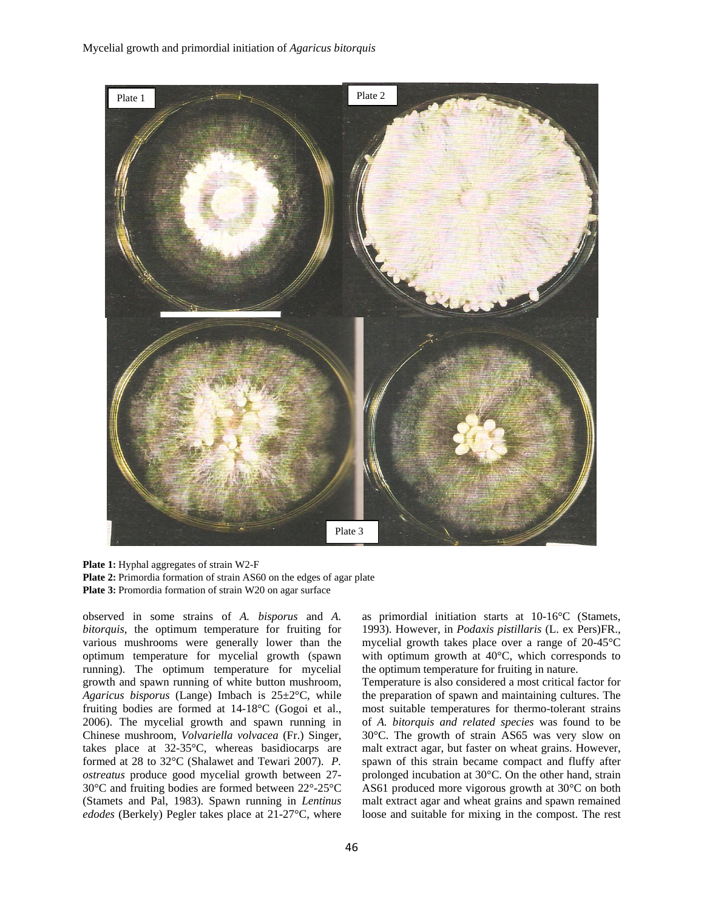

**Plate 1:** Hyphal aggregates of strain W2-F **Plate 2:** Primordia formation of strain AS60 on the edges of agar plate **Plate 3:** Promordia formation of strain W20 on agar surface

observed in some strains of *A. bisporus* and *A. bitorquis*, the optimum temperature for fruiting for various mushrooms were generally lower than the optimum temperature for mycelial growth (spawn running). The optimum temperature for mycelial growth and spawn running of white button mushroom, *Agaricus bisporus* (Lange) Imbach is 25±2°C, while fruiting bodies are formed at 14-18°C (Gogoi et al., 2006). The mycelial growth and spawn running in Chinese mushroom, *Volvariella volvacea* (Fr.) Singer, takes place at 32-35°C, whereas basidiocarps are formed at 28 to 32°C (Shalawet and Tewari 2007). *P. ostreatus* produce good mycelial growth between 27- 30°C and fruiting bodies are formed between 22°-25°C (Stamets and Pal, 1983). Spawn running in *Lentinus edodes* (Berkely) Pegler takes place at 21-27°C, where

as primordial initiation starts at 10-16°C (Stamets, 1993). However, in *Podaxis pistillaris* (L. ex Pers)FR., mycelial growth takes place over a range of 20-45°C with optimum growth at 40°C, which corresponds to the optimum temperature for fruiting in nature.

Temperature is also considered a most critical factor for the preparation of spawn and maintaining cultures. The most suitable temperatures for thermo-tolerant strains of *A. bitorquis and related species* was found to be 30°C. The growth of strain AS65 was very slow on malt extract agar, but faster on wheat grains. However, spawn of this strain became compact and fluffy after prolonged incubation at 30°C. On the other hand, strain AS61 produced more vigorous growth at 30°C on both malt extract agar and wheat grains and spawn remained loose and suitable for mixing in the compost. The rest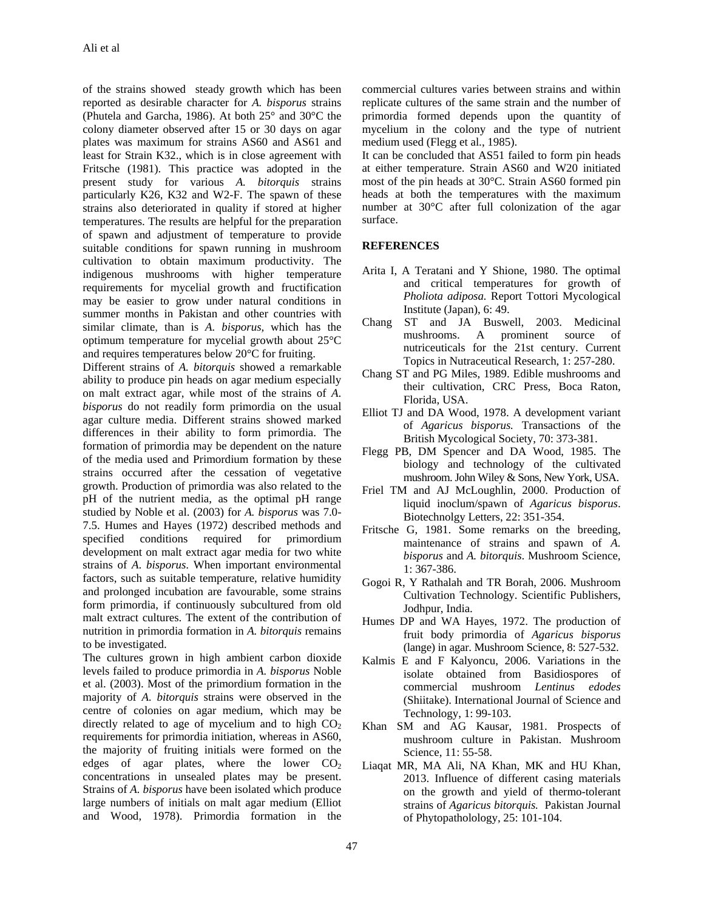of the strains showed steady growth which has been reported as desirable character for *A. bisporus* strains (Phutela and Garcha, 1986). At both 25° and 30°C the colony diameter observed after 15 or 30 days on agar plates was maximum for strains AS60 and AS61 and least for Strain K32., which is in close agreement with Fritsche (1981). This practice was adopted in the present study for various *A. bitorquis* strains particularly K26, K32 and W2-F. The spawn of these strains also deteriorated in quality if stored at higher temperatures. The results are helpful for the preparation of spawn and adjustment of temperature to provide suitable conditions for spawn running in mushroom cultivation to obtain maximum productivity. The indigenous mushrooms with higher temperature requirements for mycelial growth and fructification may be easier to grow under natural conditions in summer months in Pakistan and other countries with similar climate, than is *A. bisporus,* which has the optimum temperature for mycelial growth about 25°C and requires temperatures below 20°C for fruiting.

Different strains of *A. bitorquis* showed a remarkable ability to produce pin heads on agar medium especially on malt extract agar, while most of the strains of *A*. *bisporus* do not readily form primordia on the usual agar culture media. Different strains showed marked differences in their ability to form primordia. The formation of primordia may be dependent on the nature of the media used and Primordium formation by these strains occurred after the cessation of vegetative growth. Production of primordia was also related to the pH of the nutrient media, as the optimal pH range studied by Noble et al. (2003) for *A. bisporus* was 7.0- 7.5. Humes and Hayes (1972) described methods and specified conditions required for primordium development on malt extract agar media for two white strains of *A*. *bisporus*. When important environmental factors, such as suitable temperature, relative humidity and prolonged incubation are favourable, some strains form primordia, if continuously subcultured from old malt extract cultures. The extent of the contribution of nutrition in primordia formation in *A. bitorquis* remains to be investigated.

The cultures grown in high ambient carbon dioxide levels failed to produce primordia in *A. bisporus* Noble et al. (2003). Most of the primordium formation in the majority of *A. bitorquis* strains were observed in the centre of colonies on agar medium, which may be directly related to age of mycelium and to high  $CO<sub>2</sub>$ requirements for primordia initiation, whereas in AS60, the majority of fruiting initials were formed on the edges of agar plates, where the lower  $CO<sub>2</sub>$ concentrations in unsealed plates may be present. Strains of *A. bisporus* have been isolated which produce large numbers of initials on malt agar medium (Elliot and Wood, 1978). Primordia formation in the

commercial cultures varies between strains and within replicate cultures of the same strain and the number of primordia formed depends upon the quantity of mycelium in the colony and the type of nutrient medium used (Flegg et al., 1985).

It can be concluded that AS51 failed to form pin heads at either temperature. Strain AS60 and W20 initiated most of the pin heads at 30°C. Strain AS60 formed pin heads at both the temperatures with the maximum number at 30°C after full colonization of the agar surface.

## **REFERENCES**

- Arita I, A Teratani and Y Shione, 1980. The optimal and critical temperatures for growth of *Pholiota adiposa.* Report Tottori Mycological Institute (Japan), 6: 49.
- Chang ST and JA Buswell, 2003. Medicinal mushrooms. A prominent source of nutriceuticals for the 21st century. Current Topics in Nutraceutical Research, 1: 257-280.
- Chang ST and PG Miles, 1989. Edible mushrooms and their cultivation, CRC Press, Boca Raton, Florida, USA.
- Elliot TJ and DA Wood, 1978. A development variant of *Agaricus bisporus.* Transactions of the British Mycological Society, 70: 373-381.
- Flegg PB, DM Spencer and DA Wood, 1985. The biology and technology of the cultivated mushroom. John Wiley & Sons, New York, USA.
- Friel TM and AJ McLoughlin, 2000. Production of liquid inoclum/spawn of *Agaricus bisporus*. Biotechnolgy Letters, 22: 351-354.
- Fritsche G, 1981. Some remarks on the breeding, maintenance of strains and spawn of *A. bisporus* and *A. bitorquis*. Mushroom Science, 1: 367-386.
- Gogoi R, Y Rathalah and TR Borah, 2006. Mushroom Cultivation Technology. Scientific Publishers, Jodhpur, India.
- Humes DP and WA Hayes, 1972. The production of fruit body primordia of *Agaricus bisporus* (lange) in agar. Mushroom Science, 8: 527-532.
- Kalmis E and F Kalyoncu, 2006. Variations in the isolate obtained from Basidiospores of commercial mushroom *Lentinus edodes* (Shiitake). International Journal of Science and Technology, 1: 99-103.
- Khan SM and AG Kausar, 1981. Prospects of mushroom culture in Pakistan. Mushroom Science, 11: 55-58.
- Liaqat MR, MA Ali, NA Khan, MK and HU Khan, 2013. Influence of different casing materials on the growth and yield of thermo-tolerant strains of *Agaricus bitorquis.* Pakistan Journal of Phytopatholology, 25: 101-104.